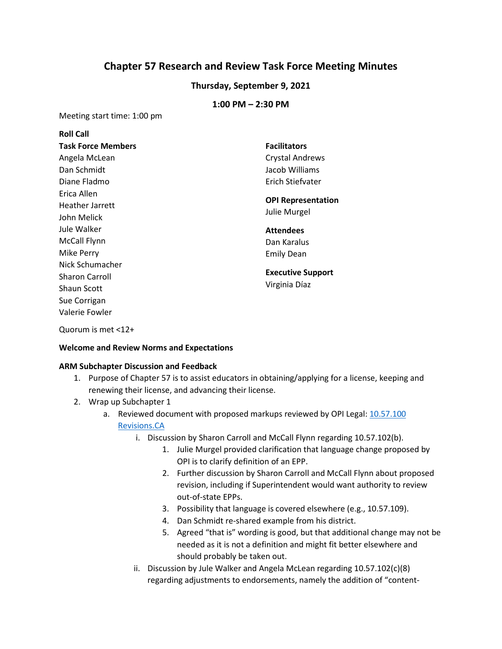# **Chapter 57 Research and Review Task Force Meeting Minutes**

## **Thursday, September 9, 2021**

### **1:00 PM – 2:30 PM**

Meeting start time: 1:00 pm

| <b>Roll Call</b>          |                           |
|---------------------------|---------------------------|
| <b>Task Force Members</b> | <b>Facilitators</b>       |
| Angela McLean             | <b>Crystal Andrews</b>    |
| Dan Schmidt               | Jacob Williams            |
| Diane Fladmo              | Erich Stiefvater          |
| Erica Allen               |                           |
| <b>Heather Jarrett</b>    | <b>OPI Representation</b> |
| John Melick               | Julie Murgel              |
|                           |                           |
| Jule Walker               | <b>Attendees</b>          |
| McCall Flynn              | Dan Karalus               |
| Mike Perry                | <b>Emily Dean</b>         |
| Nick Schumacher           |                           |
| <b>Sharon Carroll</b>     | <b>Executive Support</b>  |
| <b>Shaun Scott</b>        | Virginia Díaz             |
| Sue Corrigan              |                           |

Quorum is met <12+

#### **Welcome and Review Norms and Expectations**

#### **ARM Subchapter Discussion and Feedback**

- 1. Purpose of Chapter 57 is to assist educators in obtaining/applying for a license, keeping and renewing their license, and advancing their license.
- 2. Wrap up Subchapter 1
	- a. Reviewed document with proposed markups reviewed by OPI Legal: [10.57.100](https://drive.google.com/file/d/1jxuP33JnLtDXwcjVFe8qjW7r8lMcWRDb/view)  [Revisions.CA](https://drive.google.com/file/d/1jxuP33JnLtDXwcjVFe8qjW7r8lMcWRDb/view)
		- i. Discussion by Sharon Carroll and McCall Flynn regarding 10.57.102(b).
			- 1. Julie Murgel provided clarification that language change proposed by OPI is to clarify definition of an EPP.
			- 2. Further discussion by Sharon Carroll and McCall Flynn about proposed revision, including if Superintendent would want authority to review out-of-state EPPs.
			- 3. Possibility that language is covered elsewhere (e.g., 10.57.109).
			- 4. Dan Schmidt re-shared example from his district.
			- 5. Agreed "that is" wording is good, but that additional change may not be needed as it is not a definition and might fit better elsewhere and should probably be taken out.
		- ii. Discussion by Jule Walker and Angela McLean regarding 10.57.102(c)(8) regarding adjustments to endorsements, namely the addition of "content-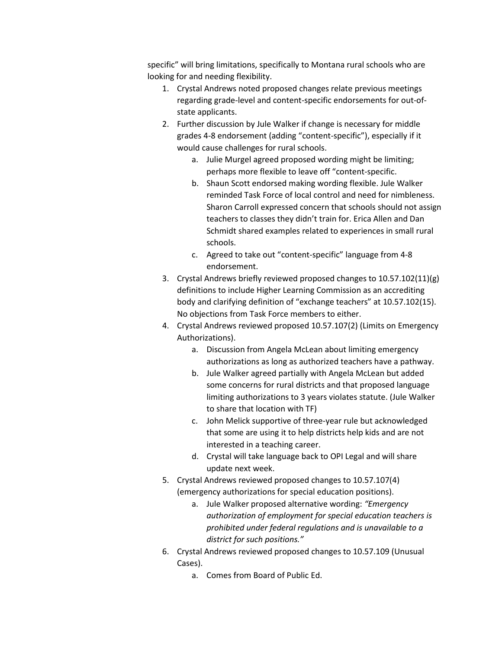specific" will bring limitations, specifically to Montana rural schools who are looking for and needing flexibility.

- 1. Crystal Andrews noted proposed changes relate previous meetings regarding grade-level and content-specific endorsements for out-ofstate applicants.
- 2. Further discussion by Jule Walker if change is necessary for middle grades 4-8 endorsement (adding "content-specific"), especially if it would cause challenges for rural schools.
	- a. Julie Murgel agreed proposed wording might be limiting; perhaps more flexible to leave off "content-specific.
	- b. Shaun Scott endorsed making wording flexible. Jule Walker reminded Task Force of local control and need for nimbleness. Sharon Carroll expressed concern that schools should not assign teachers to classes they didn't train for. Erica Allen and Dan Schmidt shared examples related to experiences in small rural schools.
	- c. Agreed to take out "content-specific" language from 4-8 endorsement.
- 3. Crystal Andrews briefly reviewed proposed changes to 10.57.102(11)(g) definitions to include Higher Learning Commission as an accrediting body and clarifying definition of "exchange teachers" at 10.57.102(15). No objections from Task Force members to either.
- 4. Crystal Andrews reviewed proposed 10.57.107(2) (Limits on Emergency Authorizations).
	- a. Discussion from Angela McLean about limiting emergency authorizations as long as authorized teachers have a pathway.
	- b. Jule Walker agreed partially with Angela McLean but added some concerns for rural districts and that proposed language limiting authorizations to 3 years violates statute. (Jule Walker to share that location with TF)
	- c. John Melick supportive of three-year rule but acknowledged that some are using it to help districts help kids and are not interested in a teaching career.
	- d. Crystal will take language back to OPI Legal and will share update next week.
- 5. Crystal Andrews reviewed proposed changes to 10.57.107(4) (emergency authorizations for special education positions).
	- a. Jule Walker proposed alternative wording: *"Emergency authorization of employment for special education teachers is prohibited under federal regulations and is unavailable to a district for such positions."*
- 6. Crystal Andrews reviewed proposed changes to 10.57.109 (Unusual Cases).
	- a. Comes from Board of Public Ed.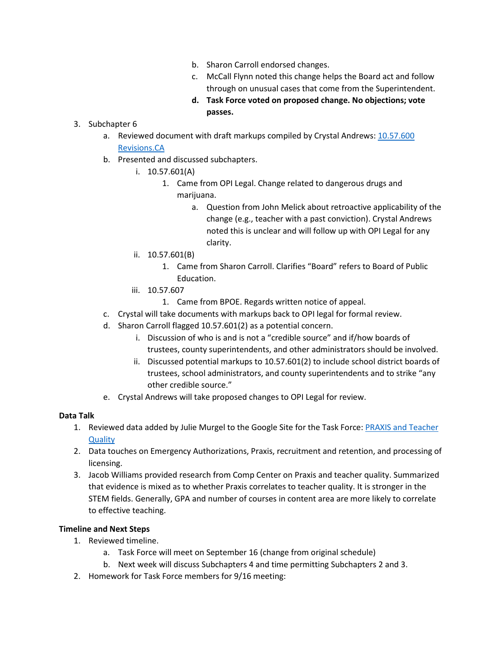- b. Sharon Carroll endorsed changes.
- c. McCall Flynn noted this change helps the Board act and follow through on unusual cases that come from the Superintendent.
- **d. Task Force voted on proposed change. No objections; vote passes.**
- 3. Subchapter 6
	- a. Reviewed document with draft markups compiled by Crystal Andrews: 10.57.600 Revisions.CA
	- b. Presented and discussed subchapters.
		- i. 10.57.601(A)
			- 1. Came from OPI Legal. Change related to dangerous drugs and marijuana.
				- a. Question from John Melick about retroactive applicability of the change (e.g., teacher with a past conviction). Crystal Andrews noted this is unclear and will follow up with OPI Legal for any clarity.
		- ii. 10.57.601(B)
			- 1. Came from Sharon Carroll. Clarifies "Board" refers to Board of Public Education.
		- iii. 10.57.607
			- 1. Came from BPOE. Regards written notice of appeal.
	- c. Crystal will take documents with markups back to OPI legal for formal review.
	- d. Sharon Carroll flagged 10.57.601(2) as a potential concern.
		- i. Discussion of who is and is not a "credible source" and if/how boards of trustees, county superintendents, and other administrators should be involved.
		- ii. Discussed potential markups to 10.57.601(2) to include school district boards of trustees, school administrators, and county superintendents and to strike "any other credible source."
	- e. Crystal Andrews will take proposed changes to OPI Legal for review.

## **Data Talk**

- 1. Reviewed data added by Julie Murgel to the Google Site for the Task Force: PRAXIS and Teacher **Quality**
- 2. Data touches on Emergency Authorizations, Praxis, recruitment and retention, and processing of licensing.
- 3. Jacob Williams provided research from Comp Center on Praxis and teacher quality. Summarized that evidence is mixed as to whether Praxis correlates to teacher quality. It is stronger in the STEM fields. Generally, GPA and number of courses in content area are more likely to correlate to effective teaching.

## **Timeline and Next Steps**

- 1. Reviewed timeline.
	- a. Task Force will meet on September 16 (change from original schedule)
	- b. Next week will discuss Subchapters 4 and time permitting Subchapters 2 and 3.
- 2. Homework for Task Force members for 9/16 meeting: